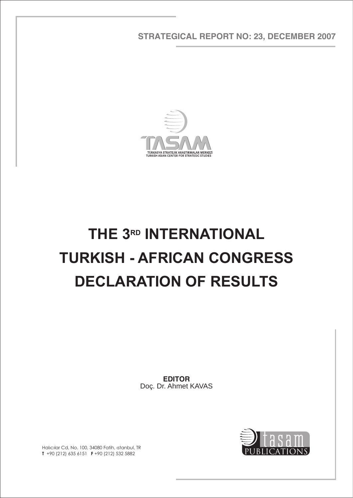**STRATEGICAL REPORT NO: 23, DECEMBER 2007**



## **THE 3RD INTERNATIONAL TURKISH - AFRICAN CONGRESS DECLARATION OF RESULTS**

**EDITOR** Doç. Dr. Ahmet KAVAS



Hal>c>lar Cd, No. 100, 34080 Fatih, «stanbul, TR **T** +90 (212) 635 6151 **F** +90 (212) 532 5882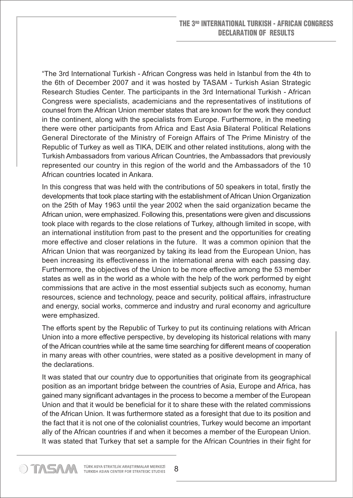"The 3rd International Turkish - African Congress was held in Istanbul from the 4th to the 6th of December 2007 and it was hosted by TASAM - Turkish Asian Strategic Research Studies Center. The participants in the 3rd International Turkish - African Congress were specialists, academicians and the representatives of institutions of counsel from the African Union member states that are known for the work they conduct in the continent, along with the specialists from Europe. Furthermore, in the meeting there were other participants from Africa and East Asia Bilateral Political Relations General Directorate of the Ministry of Foreign Affairs of The Prime Ministry of the Republic of Turkey as well as TIKA, DEIK and other related institutions, along with the Turkish Ambassadors from various African Countries, the Ambassadors that previously represented our country in this region of the world and the Ambassadors of the 10 African countries located in Ankara.

In this congress that was held with the contributions of 50 speakers in total, firstly the developments that took place starting with the establishment of African Union Organization on the 25th of May 1963 until the year 2002 when the said organization became the African union, were emphasized. Following this, presentations were given and discussions took place with regards to the close relations of Turkey, although limited in scope, with an international institution from past to the present and the opportunities for creating more effective and closer relations in the future. It was a common opinion that the African Union that was reorganized by taking its lead from the European Union, has been increasing its effectiveness in the international arena with each passing day. Furthermore, the objectives of the Union to be more effective among the 53 member states as well as in the world as a whole with the help of the work performed by eight commissions that are active in the most essential subjects such as economy, human resources, science and technology, peace and security, political affairs, infrastructure and energy, social works, commerce and industry and rural economy and agriculture were emphasized.

The efforts spent by the Republic of Turkey to put its continuing relations with African Union into a more effective perspective, by developing its historical relations with many of the African countries while at the same time searching for different means of cooperation in many areas with other countries, were stated as a positive development in many of the declarations.

It was stated that our country due to opportunities that originate from its geographical position as an important bridge between the countries of Asia, Europe and Africa, has gained many significant advantages in the process to become a member of the European Union and that it would be beneficial for it to share these with the related commissions of the African Union. It was furthermore stated as a foresight that due to its position and the fact that it is not one of the colonialist countries, Turkey would become an important ally of the African countries if and when it becomes a member of the European Union. It was stated that Turkey that set a sample for the African Countries in their fight for

STASA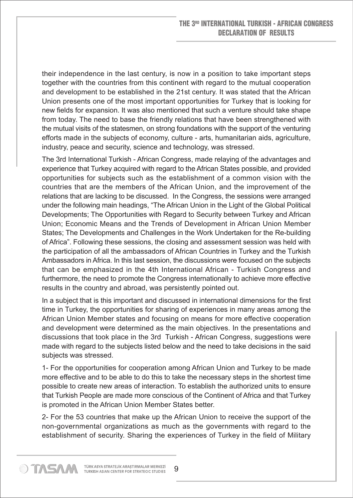their independence in the last century, is now in a position to take important steps together with the countries from this continent with regard to the mutual cooperation and development to be established in the 21st century. It was stated that the African Union presents one of the most important opportunities for Turkey that is looking for new fields for expansion. It was also mentioned that such a venture should take shape from today. The need to base the friendly relations that have been strengthened with the mutual visits of the statesmen, on strong foundations with the support of the venturing efforts made in the subjects of economy, culture - arts, humanitarian aids, agriculture, industry, peace and security, science and technology, was stressed.

The 3rd International Turkish - African Congress, made relaying of the advantages and experience that Turkey acquired with regard to the African States possible, and provided opportunities for subjects such as the establishment of a common vision with the countries that are the members of the African Union, and the improvement of the relations that are lacking to be discussed. In the Congress, the sessions were arranged under the following main headings, "The African Union in the Light of the Global Political Developments; The Opportunities with Regard to Security between Turkey and African Union; Economic Means and the Trends of Development in African Union Member States; The Developments and Challenges in the Work Undertaken for the Re-building of Africa". Following these sessions, the closing and assessment session was held with the participation of all the ambassadors of African Countries in Turkey and the Turkish Ambassadors in Africa. In this last session, the discussions were focused on the subjects that can be emphasized in the 4th International African - Turkish Congress and furthermore, the need to promote the Congress internationally to achieve more effective results in the country and abroad, was persistently pointed out.

In a subject that is this important and discussed in international dimensions for the first time in Turkey, the opportunities for sharing of experiences in many areas among the African Union Member states and focusing on means for more effective cooperation and development were determined as the main objectives. In the presentations and discussions that took place in the 3rd Turkish - African Congress, suggestions were made with regard to the subjects listed below and the need to take decisions in the said subjects was stressed.

1- For the opportunities for cooperation among African Union and Turkey to be made more effective and to be able to do this to take the necessary steps in the shortest time possible to create new areas of interaction. To establish the authorized units to ensure that Turkish People are made more conscious of the Continent of Africa and that Turkey is promoted in the African Union Member States better.

2- For the 53 countries that make up the African Union to receive the support of the non-governmental organizations as much as the governments with regard to the establishment of security. Sharing the experiences of Turkey in the field of Military

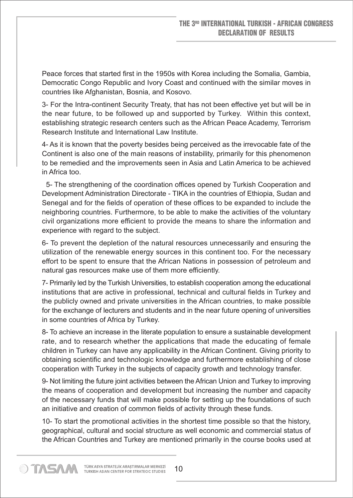Peace forces that started first in the 1950s with Korea including the Somalia, Gambia, Democratic Congo Republic and Ivory Coast and continued with the similar moves in countries like Afghanistan, Bosnia, and Kosovo.

3- For the Intra-continent Security Treaty, that has not been effective yet but will be in the near future, to be followed up and supported by Turkey. Within this context, establishing strategic research centers such as the African Peace Academy, Terrorism Research Institute and International Law Institute.

4- As it is known that the poverty besides being perceived as the irrevocable fate of the Continent is also one of the main reasons of instability, primarily for this phenomenon to be remedied and the improvements seen in Asia and Latin America to be achieved in Africa too.

 5- The strengthening of the coordination offices opened by Turkish Cooperation and Development Administration Directorate - TIKA in the countries of Ethiopia, Sudan and Senegal and for the fields of operation of these offices to be expanded to include the neighboring countries. Furthermore, to be able to make the activities of the voluntary civil organizations more efficient to provide the means to share the information and experience with regard to the subject.

6- To prevent the depletion of the natural resources unnecessarily and ensuring the utilization of the renewable energy sources in this continent too. For the necessary effort to be spent to ensure that the African Nations in possession of petroleum and natural gas resources make use of them more efficiently.

7- Primarily led by the Turkish Universities, to establish cooperation among the educational institutions that are active in professional, technical and cultural fields in Turkey and the publicly owned and private universities in the African countries, to make possible for the exchange of lecturers and students and in the near future opening of universities in some countries of Africa by Turkey.

8- To achieve an increase in the literate population to ensure a sustainable development rate, and to research whether the applications that made the educating of female children in Turkey can have any applicability in the African Continent. Giving priority to obtaining scientific and technologic knowledge and furthermore establishing of close cooperation with Turkey in the subjects of capacity growth and technology transfer.

9- Not limiting the future joint activities between the African Union and Turkey to improving the means of cooperation and development but increasing the number and capacity of the necessary funds that will make possible for setting up the foundations of such an initiative and creation of common fields of activity through these funds.

10- To start the promotional activities in the shortest time possible so that the history, geographical, cultural and social structure as well economic and commercial status of the African Countries and Turkey are mentioned primarily in the course books used at

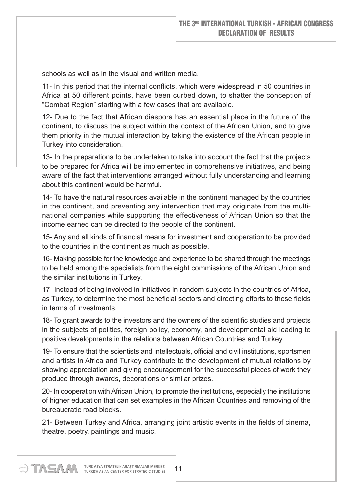schools as well as in the visual and written media.

11- In this period that the internal conflicts, which were widespread in 50 countries in Africa at 50 different points, have been curbed down, to shatter the conception of "Combat Region" starting with a few cases that are available.

12- Due to the fact that African diaspora has an essential place in the future of the continent, to discuss the subject within the context of the African Union, and to give them priority in the mutual interaction by taking the existence of the African people in Turkey into consideration.

13- In the preparations to be undertaken to take into account the fact that the projects to be prepared for Africa will be implemented in comprehensive initiatives, and being aware of the fact that interventions arranged without fully understanding and learning about this continent would be harmful.

14- To have the natural resources available in the continent managed by the countries in the continent, and preventing any intervention that may originate from the multinational companies while supporting the effectiveness of African Union so that the income earned can be directed to the people of the continent.

15- Any and all kinds of financial means for investment and cooperation to be provided to the countries in the continent as much as possible.

16- Making possible for the knowledge and experience to be shared through the meetings to be held among the specialists from the eight commissions of the African Union and the similar institutions in Turkey.

17- Instead of being involved in initiatives in random subjects in the countries of Africa, as Turkey, to determine the most beneficial sectors and directing efforts to these fields in terms of investments.

18- To grant awards to the investors and the owners of the scientific studies and projects in the subjects of politics, foreign policy, economy, and developmental aid leading to positive developments in the relations between African Countries and Turkey.

19- To ensure that the scientists and intellectuals, official and civil institutions, sportsmen and artists in Africa and Turkey contribute to the development of mutual relations by showing appreciation and giving encouragement for the successful pieces of work they produce through awards, decorations or similar prizes.

20- In cooperation with African Union, to promote the institutions, especially the institutions of higher education that can set examples in the African Countries and removing of the bureaucratic road blocks.

21- Between Turkey and Africa, arranging joint artistic events in the fields of cinema, theatre, poetry, paintings and music.